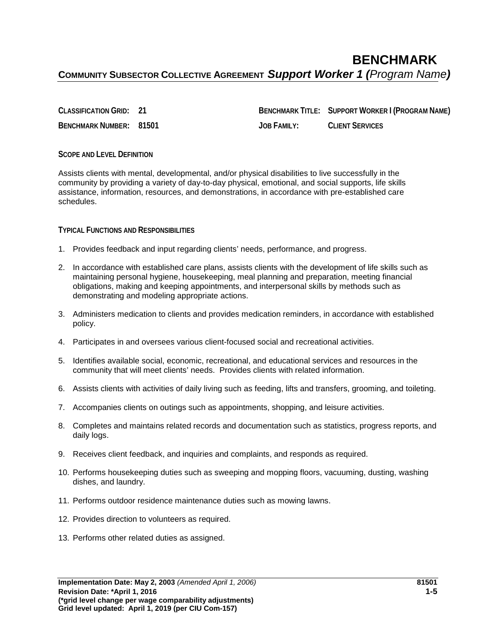**CLASSIFICATION GRID: 21 BENCHMARK TITLE: SUPPORT WORKER I (PROGRAM NAME) BENCHMARK NUMBER: 81501 JOB FAMILY: CLIENT SERVICES**

## **SCOPE AND LEVEL DEFINITION**

Assists clients with mental, developmental, and/or physical disabilities to live successfully in the community by providing a variety of day-to-day physical, emotional, and social supports, life skills assistance, information, resources, and demonstrations, in accordance with pre-established care schedules.

**TYPICAL FUNCTIONS AND RESPONSIBILITIES**

- 1. Provides feedback and input regarding clients' needs, performance, and progress.
- 2. In accordance with established care plans, assists clients with the development of life skills such as maintaining personal hygiene, housekeeping, meal planning and preparation, meeting financial obligations, making and keeping appointments, and interpersonal skills by methods such as demonstrating and modeling appropriate actions.
- 3. Administers medication to clients and provides medication reminders, in accordance with established policy.
- 4. Participates in and oversees various client-focused social and recreational activities.
- 5. Identifies available social, economic, recreational, and educational services and resources in the community that will meet clients' needs. Provides clients with related information.
- 6. Assists clients with activities of daily living such as feeding, lifts and transfers, grooming, and toileting.
- 7. Accompanies clients on outings such as appointments, shopping, and leisure activities.
- 8. Completes and maintains related records and documentation such as statistics, progress reports, and daily logs.
- 9. Receives client feedback, and inquiries and complaints, and responds as required.
- 10. Performs housekeeping duties such as sweeping and mopping floors, vacuuming, dusting, washing dishes, and laundry.
- 11. Performs outdoor residence maintenance duties such as mowing lawns.
- 12. Provides direction to volunteers as required.
- 13. Performs other related duties as assigned.